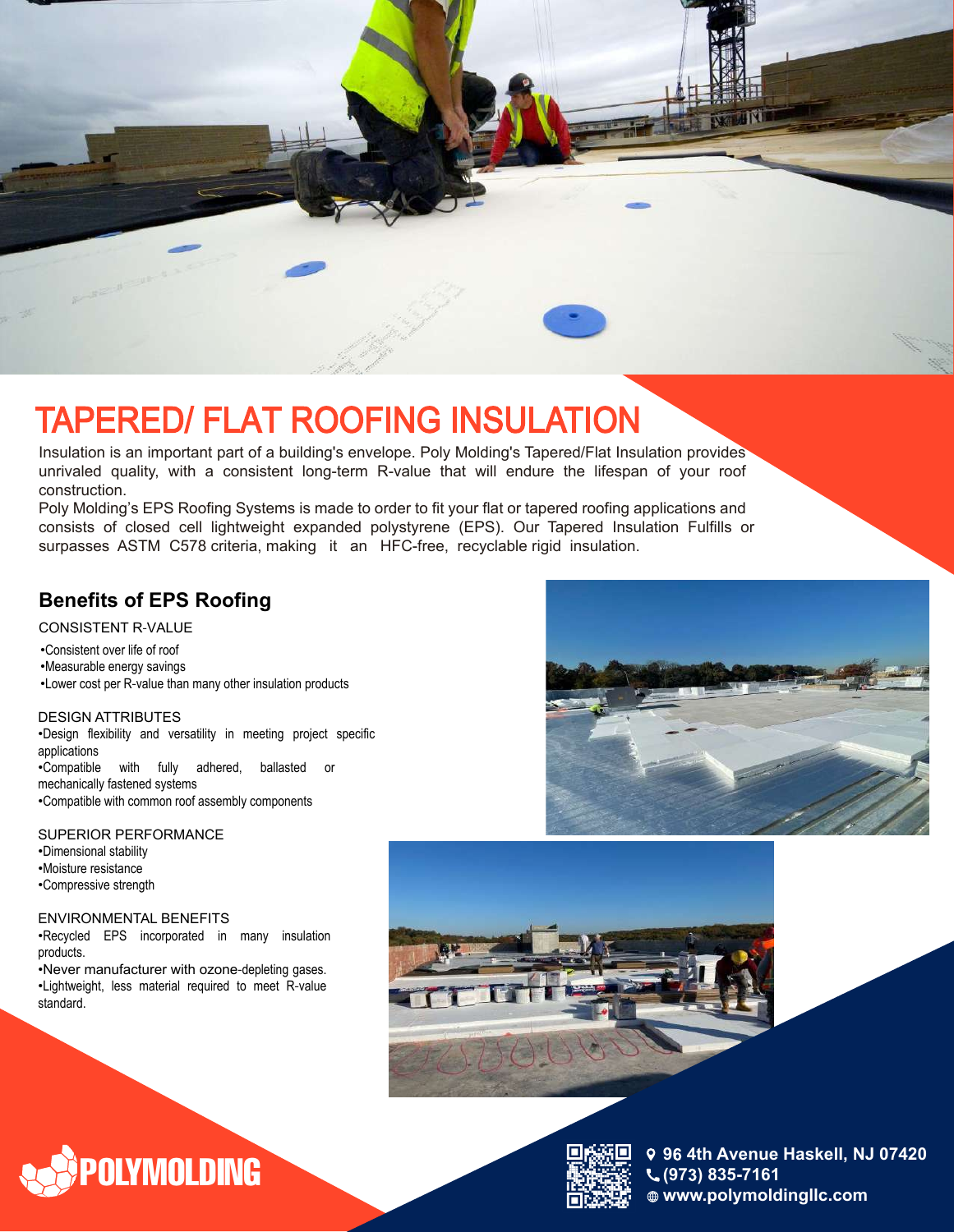

Insulation is an important part of a building's envelope. Poly Molding's Tapered/Flat Insulation provides unrivaled quality, with a consistent long-term R-value that will endure the lifespan of your roof construction.

Poly Molding's EPS Roofing Systems is made to order to fit your flat or tapered roofing applications and consists of closed cell lightweight expanded polystyrene (EPS). Our Tapered Insulation Fulfills or surpasses ASTM C578 criteria, making it an HFC-free, recyclable rigid insulation.

#### **Benefits of EPS Roofing**

CONSISTENT R‐VALUE

•Consistent over life of roof •Measurable energy savings •Lower cost per R‐value than many other insulation products

DESIGN ATTRIBUTES •Design flexibility and versatility in meeting project specific applications •Compatible with fully adhered, ballasted or mechanically fastened systems •Compatible with common roof assembly components

SUPERIOR PERFORMANCE •Dimensional stability •Moisture resistance •Compressive strength

ENVIRONMENTAL BENEFITS

•Recycled EPS incorporated in many insulation products.

•Never manufacturer with ozone-depleting gases. •Lightweight, less material required to meet R‐value standard.

**OLYMOLDING** 







**9 4th Avenue Haskell, NJ 07420 (97 ) 835-7161 www.polymoldingllc.com**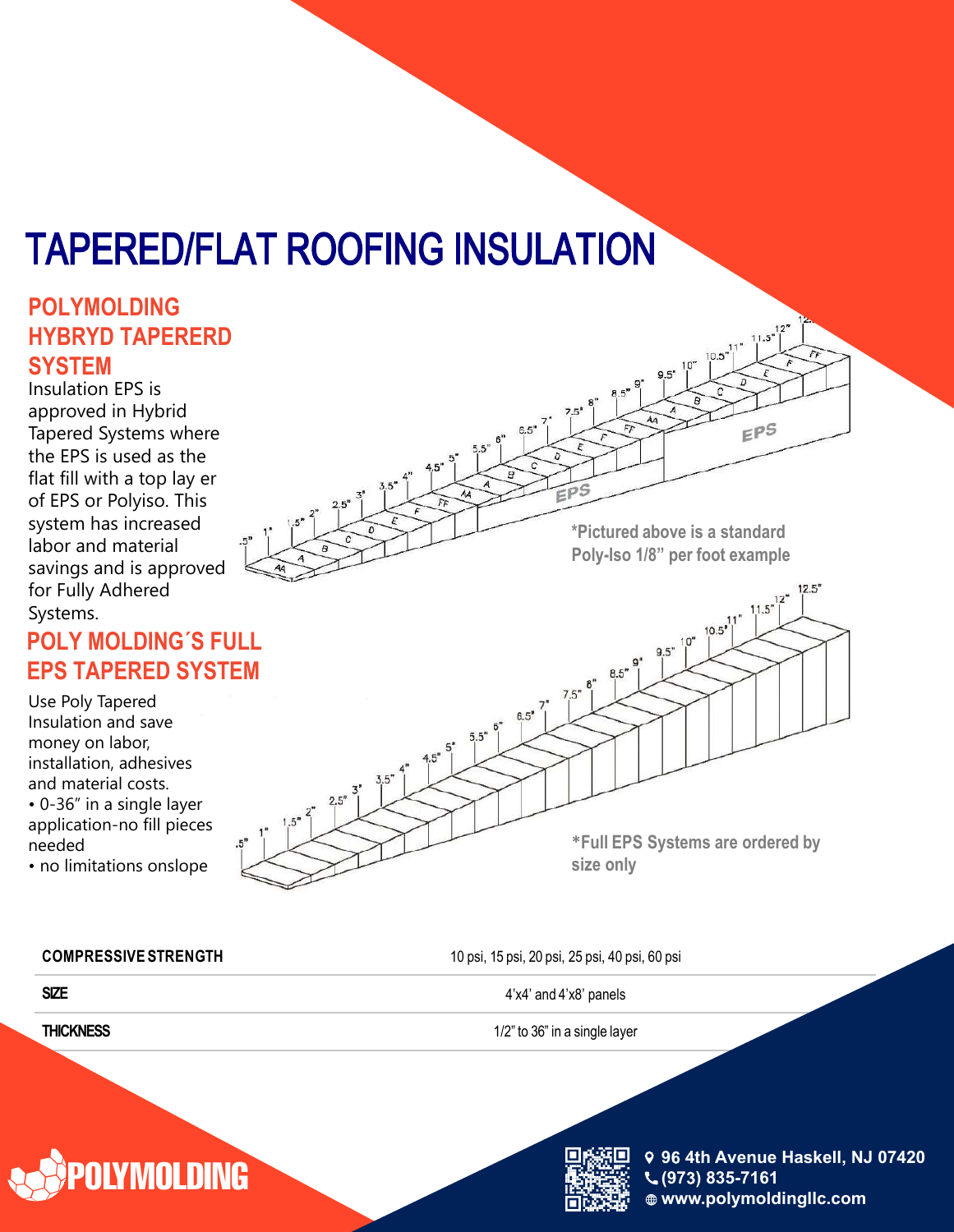### **TAPERED/FLAT ROOFING INSULATION**

#### **POLYMOLDING HYBRYD TAPERERD SYSTEM**

Insulation EPS is approved in Hybrid Tapered Systems where the EPS is used as the flat fill with a top lay er of EPS or Polyiso. This system has increased labor and material savings and is approved for Fully Adhered Systems.

### **POLY MOLDING´S FULL EPS TAPERED SYSTEM**

Use Poly Tapered Insulation and save money on labor, installation, adhesives and material costs. • 0-36" in a single layer

application-no fill pieces needed • no limitations onslope

**\*Pictured above is a standard Poly-Iso 1/8" per foot example**  $175$  $12^{1}$  $11.5''$  $\left[\begin{array}{c} 10.5^{3} \\ 1 \end{array}\right]^{11}$  $9.5"$ <sup>10"</sup> 8.5  $7.5"$  $6.5"$  $5.5''$ **\*Full EPS Systems are ordered by size only**

**COMPRESSIVE STRENGTH** 10 psi, 15 psi, 20 psi, 25 psi, 40 psi, 60 psi

**SIZE** 4'x4' and 4'x8' panels

**THICKNESS** 1/2" to 36" in a single layer





**9 4th Avenue Haskell, NJ 07420 (97 ) 835-7161 www.polymoldingllc.com**

 $EPS$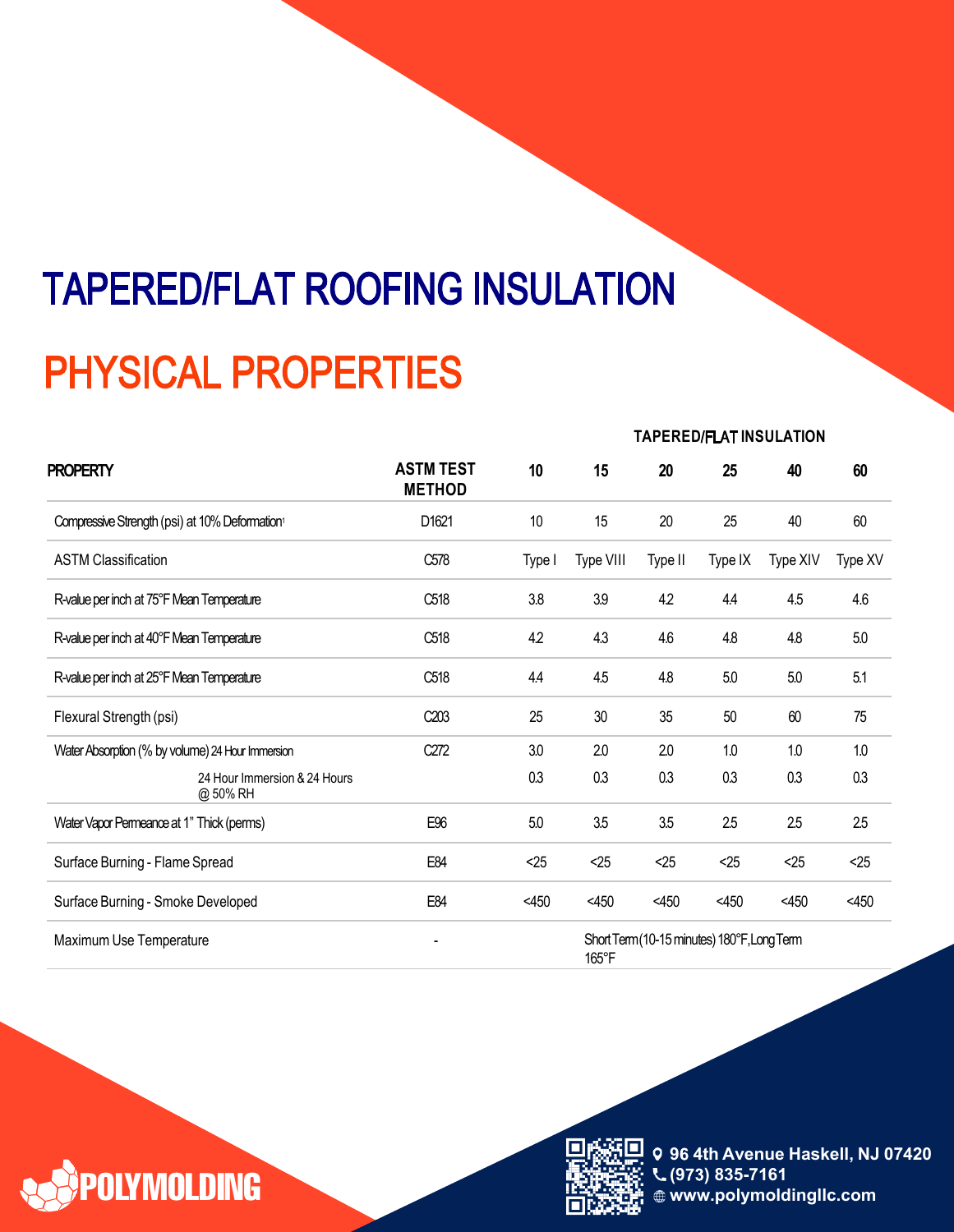## **TAPERED/FLAT ROOFING INSULATION PHYSICAL PROPERTIES**

| <b>PROPERTY</b>                                            |                                   | <b>TAPERED/FLAT INSULATION</b>              |           |         |         |          |         |
|------------------------------------------------------------|-----------------------------------|---------------------------------------------|-----------|---------|---------|----------|---------|
|                                                            | <b>ASTM TEST</b><br><b>METHOD</b> | 10                                          | 15        | 20      | 25      | 40       | 60      |
| Compressive Strength (psi) at 10% Deformation <sup>1</sup> | D1621                             | 10                                          | 15        | 20      | 25      | 40       | 60      |
| <b>ASTM Classification</b>                                 | C578                              | Type I                                      | Type VIII | Type II | Type IX | Type XIV | Type XV |
| R-value per inch at 75°F Mean Temperature                  | C518                              | 3.8                                         | 3.9       | 4.2     | 4.4     | 4.5      | 4.6     |
| R-value per inch at 40°F Mean Temperature                  | C518                              | 4.2                                         | 43        | 4.6     | 4.8     | 4.8      | 5.0     |
| R-value per inch at 25°F Mean Temperature                  | C518                              | 4.4                                         | 4.5       | 4.8     | 5.0     | 5.0      | 5.1     |
| Flexural Strength (psi)                                    | C <sub>203</sub>                  | 25                                          | 30        | 35      | 50      | $60\,$   | 75      |
| Water Absorption (% by volume) 24 Hour Immersion           | C272                              | 3.0                                         | 2.0       | 2.0     | 1.0     | 1.0      | 1.0     |
| 24 Hour Immersion & 24 Hours<br>@ 50% RH                   |                                   | 0.3                                         | 0.3       | 0.3     | 0.3     | 0.3      | 0.3     |
| Water Vapor Permeance at 1" Thick (perms)                  | E96                               | 5.0                                         | 3.5       | 3.5     | 2.5     | 25       | 2.5     |
| Surface Burning - Flame Spread                             | E84                               | $25$                                        | <25       | < 25    | $25$    | < 25     | <25     |
| Surface Burning - Smoke Developed                          | E84                               | $<$ 450                                     | $<$ 450   | $<$ 450 | $<$ 450 | $<$ 450  | $<$ 450 |
| Maximum Use Temperature                                    | $\overline{\phantom{a}}$          | Short Term (10-15 minutes) 180°F, Long Term |           |         |         |          |         |





,  $\sim$ 



**9 4th Avenue Haskell, NJ 07420 9 4th Avenue Haskell, NJ 07420 9 4th Avenue Haskell, NJ 07420 (9 ) 835-7161 (9) 835-7161 (9) 835-7161 www.polymoldingllc.com www.polymoldingllc.com www.polymoldingllc.com**